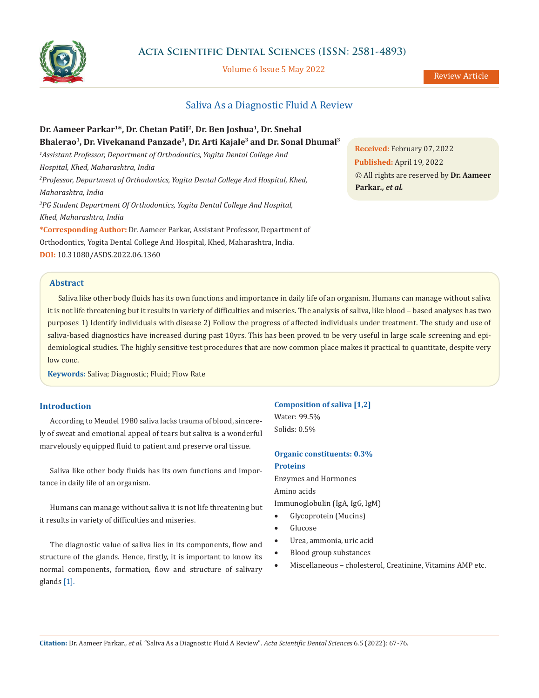

# **Acta Scientific Dental Sciences (ISSN: 2581-4893)**

Volume 6 Issue 5 May 2022

# Saliva As a Diagnostic Fluid A Review

# **Dr. Aameer Parkar<sup>1</sup>\*, Dr. Chetan Patil<sup>2</sup> , Dr. Ben Joshua<sup>1</sup> , Dr. Snehal Bhalerao<sup>1</sup> , Dr. Vivekanand Panzade<sup>3</sup> , Dr. Arti Kajale<sup>3</sup> and Dr. Sonal Dhumal<sup>3</sup>**

*<sup>1</sup>Assistant Professor, Department of Orthodontics, Yogita Dental College And Hospital, Khed, Maharashtra, India <sup>2</sup>Professor, Department of Orthodontics, Yogita Dental College And Hospital, Khed, Maharashtra, India <sup>3</sup>PG Student Department Of Orthodontics, Yogita Dental College And Hospital, Khed, Maharashtra, India* **\*Corresponding Author:** Dr. Aameer Parkar, Assistant Professor, Department of

Orthodontics, Yogita Dental College And Hospital, Khed, Maharashtra, India. **DOI:** [10.31080/ASDS.2022.06.1360](https://actascientific.com/ASDS/pdf/ASDS-06-1360.pdf)

**Received:** February 07, 2022 **Published:** April 19, 2022 © All rights are reserved by **Dr. Aameer Parkar***., et al.*

### **Abstract**

Saliva like other body fluids has its own functions and importance in daily life of an organism. Humans can manage without saliva it is not life threatening but it results in variety of difficulties and miseries. The analysis of saliva, like blood – based analyses has two purposes 1) Identify individuals with disease 2) Follow the progress of affected individuals under treatment. The study and use of saliva-based diagnostics have increased during past 10yrs. This has been proved to be very useful in large scale screening and epidemiological studies. The highly sensitive test procedures that are now common place makes it practical to quantitate, despite very low conc.

**Keywords:** Saliva; Diagnostic; Fluid; Flow Rate

# **Introduction**

According to Meudel 1980 saliva lacks trauma of blood, sincerely of sweat and emotional appeal of tears but saliva is a wonderful marvelously equipped fluid to patient and preserve oral tissue.

Saliva like other body fluids has its own functions and importance in daily life of an organism.

Humans can manage without saliva it is not life threatening but it results in variety of difficulties and miseries.

The diagnostic value of saliva lies in its components, flow and structure of the glands. Hence, firstly, it is important to know its normal components, formation, flow and structure of salivary glands [1].

#### **Composition of saliva [1,2]**

Water: 99.5% Solids: 0.5%

# **Organic constituents: 0.3% Proteins**

Enzymes and Hormones Amino acids Immunoglobulin (IgA, IgG, IgM)

- Glycoprotein (Mucins)
- **Glucose**
- Urea, ammonia, uric acid
- Blood group substances
- Miscellaneous cholesterol, Creatinine, Vitamins AMP etc.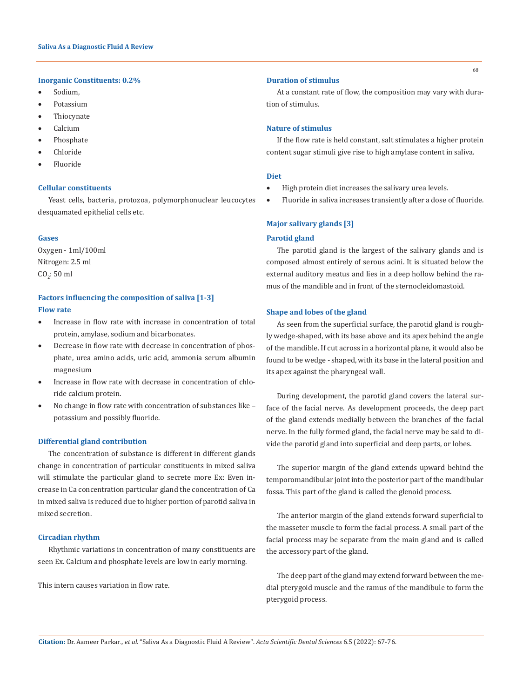### **Inorganic Constituents: 0.2%**

- • Sodium,
- Potassium
- **Thiocynate**
- **Calcium**
- Phosphate
- **Chloride**
- **Fluoride**

## **Cellular constituents**

Yeast cells, bacteria, protozoa, polymorphonuclear leucocytes desquamated epithelial cells etc.

## **Gases**

Oxygen - 1ml/100ml Nitrogen: 2.5 ml  $CO_2$ : 50 ml

# **Factors influencing the composition of saliva [1-3] Flow rate**

- Increase in flow rate with increase in concentration of total protein, amylase, sodium and bicarbonates.
- Decrease in flow rate with decrease in concentration of phosphate, urea amino acids, uric acid, ammonia serum albumin magnesium
- Increase in flow rate with decrease in concentration of chloride calcium protein.
- • No change in flow rate with concentration of substances like potassium and possibly fluoride.

### **Differential gland contribution**

The concentration of substance is different in different glands change in concentration of particular constituents in mixed saliva will stimulate the particular gland to secrete more Ex: Even increase in Ca concentration particular gland the concentration of Ca in mixed saliva is reduced due to higher portion of parotid saliva in mixed secretion.

### **Circadian rhythm**

Rhythmic variations in concentration of many constituents are seen Ex. Calcium and phosphate levels are low in early morning.

This intern causes variation in flow rate.

### **Duration of stimulus**

At a constant rate of flow, the composition may vary with duration of stimulus.

## **Nature of stimulus**

If the flow rate is held constant, salt stimulates a higher protein content sugar stimuli give rise to high amylase content in saliva.

### **Diet**

- High protein diet increases the salivary urea levels.
- Fluoride in saliva increases transiently after a dose of fluoride.

# **Major salivary glands [3]**

### **Parotid gland**

The parotid gland is the largest of the salivary glands and is composed almost entirely of serous acini. It is situated below the external auditory meatus and lies in a deep hollow behind the ramus of the mandible and in front of the sternocleidomastoid.

### **Shape and lobes of the gland**

As seen from the superficial surface, the parotid gland is roughly wedge-shaped, with its base above and its apex behind the angle of the mandible. If cut across in a horizontal plane, it would also be found to be wedge - shaped, with its base in the lateral position and its apex against the pharyngeal wall.

During development, the parotid gland covers the lateral surface of the facial nerve. As development proceeds, the deep part of the gland extends medially between the branches of the facial nerve. In the fully formed gland, the facial nerve may be said to divide the parotid gland into superficial and deep parts, or lobes.

The superior margin of the gland extends upward behind the temporomandibular joint into the posterior part of the mandibular fossa. This part of the gland is called the glenoid process.

The anterior margin of the gland extends forward superficial to the masseter muscle to form the facial process. A small part of the facial process may be separate from the main gland and is called the accessory part of the gland.

The deep part of the gland may extend forward between the medial pterygoid muscle and the ramus of the mandibule to form the pterygoid process.

68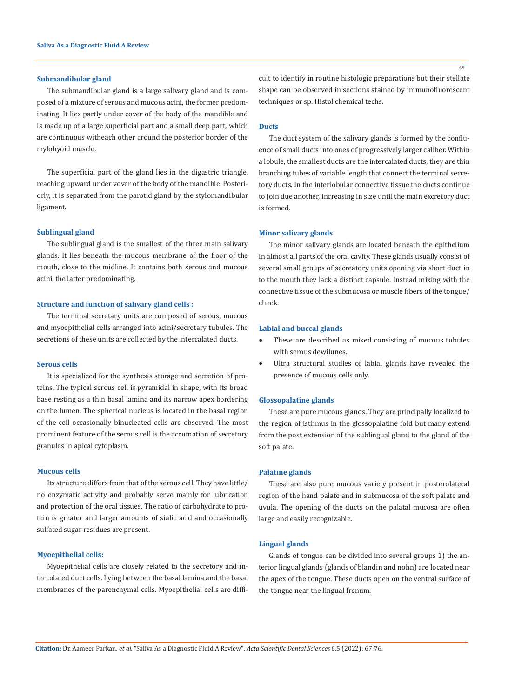### **Submandibular gland**

The submandibular gland is a large salivary gland and is composed of a mixture of serous and mucous acini, the former predominating. It lies partly under cover of the body of the mandible and is made up of a large superficial part and a small deep part, which are continuous witheach other around the posterior border of the mylohyoid muscle.

The superficial part of the gland lies in the digastric triangle, reaching upward under vover of the body of the mandible. Posteriorly, it is separated from the parotid gland by the stylomandibular ligament.

### **Sublingual gland**

The sublingual gland is the smallest of the three main salivary glands. It lies beneath the mucous membrane of the floor of the mouth, close to the midline. It contains both serous and mucous acini, the latter predominating.

### **Structure and function of salivary gland cells :**

The terminal secretary units are composed of serous, mucous and myoepithelial cells arranged into acini/secretary tubules. The secretions of these units are collected by the intercalated ducts.

### **Serous cells**

It is specialized for the synthesis storage and secretion of proteins. The typical serous cell is pyramidal in shape, with its broad base resting as a thin basal lamina and its narrow apex bordering on the lumen. The spherical nucleus is located in the basal region of the cell occasionally binucleated cells are observed. The most prominent feature of the serous cell is the accumation of secretory granules in apical cytoplasm.

### **Mucous cells**

Its structure differs from that of the serous cell. They have little/ no enzymatic activity and probably serve mainly for lubrication and protection of the oral tissues. The ratio of carbohydrate to protein is greater and larger amounts of sialic acid and occasionally sulfated sugar residues are present.

# **Myoepithelial cells:**

Myoepithelial cells are closely related to the secretory and intercolated duct cells. Lying between the basal lamina and the basal membranes of the parenchymal cells. Myoepithelial cells are difficult to identify in routine histologic preparations but their stellate shape can be observed in sections stained by immunofluorescent techniques or sp. Histol chemical techs.

# **Ducts**

The duct system of the salivary glands is formed by the confluence of small ducts into ones of progressively larger caliber. Within a lobule, the smallest ducts are the intercalated ducts, they are thin branching tubes of variable length that connect the terminal secretory ducts. In the interlobular connective tissue the ducts continue to join due another, increasing in size until the main excretory duct is formed.

## **Minor salivary glands**

The minor salivary glands are located beneath the epithelium in almost all parts of the oral cavity. These glands usually consist of several small groups of secreatory units opening via short duct in to the mouth they lack a distinct capsule. Instead mixing with the connective tissue of the submucosa or muscle fibers of the tongue/ cheek.

### **Labial and buccal glands**

- These are described as mixed consisting of mucous tubules with serous dewilunes.
- • Ultra structural studies of labial glands have revealed the presence of mucous cells only.

### **Glossopalatine glands**

These are pure mucous glands. They are principally localized to the region of isthmus in the glossopalatine fold but many extend from the post extension of the sublingual gland to the gland of the soft palate.

## **Palatine glands**

These are also pure mucous variety present in posterolateral region of the hand palate and in submucosa of the soft palate and uvula. The opening of the ducts on the palatal mucosa are often large and easily recognizable.

### **Lingual glands**

Glands of tongue can be divided into several groups 1) the anterior lingual glands (glands of blandin and nohn) are located near the apex of the tongue. These ducts open on the ventral surface of the tongue near the lingual frenum.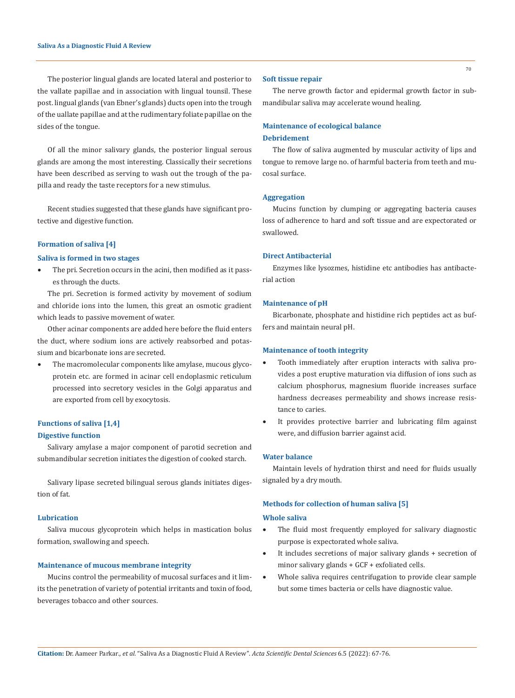The posterior lingual glands are located lateral and posterior to the vallate papillae and in association with lingual tounsil. These post. lingual glands (van Ebner's glands) ducts open into the trough of the uallate papillae and at the rudimentary foliate papillae on the sides of the tongue.

Of all the minor salivary glands, the posterior lingual serous glands are among the most interesting. Classically their secretions have been described as serving to wash out the trough of the papilla and ready the taste receptors for a new stimulus.

Recent studies suggested that these glands have significant protective and digestive function.

### **Formation of saliva [4]**

### **Saliva is formed in two stages**

The pri. Secretion occurs in the acini, then modified as it passes through the ducts.

The pri. Secretion is formed activity by movement of sodium and chloride ions into the lumen, this great an osmotic gradient which leads to passive movement of water.

Other acinar components are added here before the fluid enters the duct, where sodium ions are actively reabsorbed and potassium and bicarbonate ions are secreted.

The macromolecular components like amylase, mucous glycoprotein etc. are formed in acinar cell endoplasmic reticulum processed into secretory vesicles in the Golgi apparatus and are exported from cell by exocytosis.

# **Functions of saliva [1,4]**

## **Digestive function**

Salivary amylase a major component of parotid secretion and submandibular secretion initiates the digestion of cooked starch.

Salivary lipase secreted bilingual serous glands initiates digestion of fat.

## **Lubrication**

Saliva mucous glycoprotein which helps in mastication bolus formation, swallowing and speech.

## **Maintenance of mucous membrane integrity**

Mucins control the permeability of mucosal surfaces and it limits the penetration of variety of potential irritants and toxin of food, beverages tobacco and other sources.

### **Soft tissue repair**

The nerve growth factor and epidermal growth factor in submandibular saliva may accelerate wound healing.

## **Maintenance of ecological balance**

## **Debridement**

The flow of saliva augmented by muscular activity of lips and tongue to remove large no. of harmful bacteria from teeth and mucosal surface.

### **Aggregation**

Mucins function by clumping or aggregating bacteria causes loss of adherence to hard and soft tissue and are expectorated or swallowed.

### **Direct Antibacterial**

Enzymes like lysozmes, histidine etc antibodies has antibacterial action

## **Maintenance of pH**

Bicarbonate, phosphate and histidine rich peptides act as buffers and maintain neural pH.

#### **Maintenance of tooth integrity**

- • Tooth immediately after eruption interacts with saliva provides a post eruptive maturation via diffusion of ions such as calcium phosphorus, magnesium fluoride increases surface hardness decreases permeability and shows increase resistance to caries.
- It provides protective barrier and lubricating film against were, and diffusion barrier against acid.

## **Water balance**

Maintain levels of hydration thirst and need for fluids usually signaled by a dry mouth.

#### **Methods for collection of human saliva [5]**

#### **Whole saliva**

- The fluid most frequently employed for salivary diagnostic purpose is expectorated whole saliva.
- • It includes secretions of major salivary glands + secretion of minor salivary glands + GCF + exfoliated cells.
- Whole saliva requires centrifugation to provide clear sample but some times bacteria or cells have diagnostic value.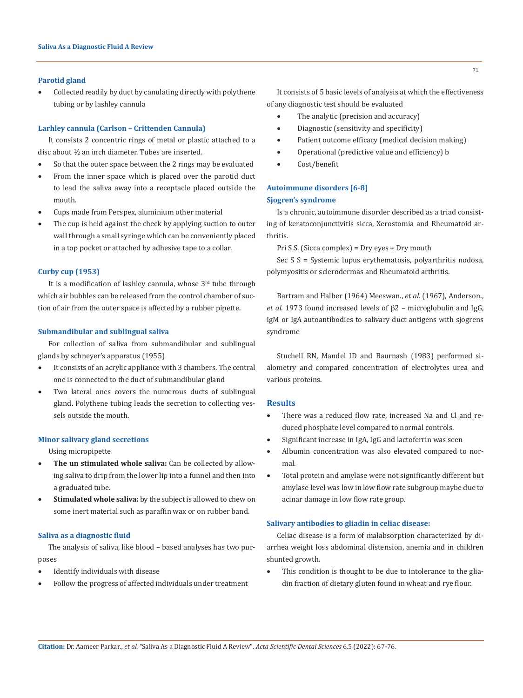### **Parotid gland**

Collected readily by duct by canulating directly with polythene tubing or by lashley cannula

### **Larhley cannula (Carlson – Crittenden Cannula)**

It consists 2 concentric rings of metal or plastic attached to a disc about ½ an inch diameter. Tubes are inserted.

- So that the outer space between the 2 rings may be evaluated
- From the inner space which is placed over the parotid duct to lead the saliva away into a receptacle placed outside the mouth.
- Cups made from Perspex, aluminium other material
- The cup is held against the check by applying suction to outer wall through a small syringe which can be conveniently placed in a top pocket or attached by adhesive tape to a collar.

## **Curby cup (1953)**

It is a modification of lashley cannula, whose  $3<sup>rd</sup>$  tube through which air bubbles can be released from the control chamber of suction of air from the outer space is affected by a rubber pipette.

### **Submandibular and sublingual saliva**

For collection of saliva from submandibular and sublingual glands by schneyer's apparatus (1955)

- • It consists of an acrylic appliance with 3 chambers. The central one is connected to the duct of submandibular gland
- Two lateral ones covers the numerous ducts of sublingual gland. Polythene tubing leads the secretion to collecting vessels outside the mouth.

### **Minor salivary gland secretions**

Using micropipette

- The un stimulated whole saliva: Can be collected by allowing saliva to drip from the lower lip into a funnel and then into a graduated tube.
- **Stimulated whole saliva:** by the subject is allowed to chew on some inert material such as paraffin wax or on rubber band.

### **Saliva as a diagnostic fluid**

The analysis of saliva, like blood – based analyses has two purposes

- Identify individuals with disease
- Follow the progress of affected individuals under treatment

It consists of 5 basic levels of analysis at which the effectiveness of any diagnostic test should be evaluated

- The analytic (precision and accuracy)
- Diagnostic (sensitivity and specificity)
- Patient outcome efficacy (medical decision making)
- Operational (predictive value and efficiency) b
- • Cost/benefit

# **Autoimmune disorders [6-8] Sjogren's syndrome**

Is a chronic, autoimmune disorder described as a triad consisting of keratoconjunctivitis sicca, Xerostomia and Rheumatoid arthritis.

Pri S.S. (Sicca complex) = Dry eyes + Dry mouth

Sec S S = Systemic lupus erythematosis, polyarthritis nodosa, polymyositis or sclerodermas and Rheumatoid arthritis.

Bartram and Halber (1964) Meeswan., *et al*. (1967), Anderson., *et al*. 1973 found increased levels of β2 – microglobulin and IgG, IgM or IgA autoantibodies to salivary duct antigens with sjogrens syndrome

Stuchell RN, Mandel ID and Baurnash (1983) performed sialometry and compared concentration of electrolytes urea and various proteins.

## **Results**

- There was a reduced flow rate, increased Na and Cl and reduced phosphate level compared to normal controls.
- Significant increase in IgA, IgG and lactoferrin was seen
- Albumin concentration was also elevated compared to normal.
- • Total protein and amylase were not significantly different but amylase level was low in low flow rate subgroup maybe due to acinar damage in low flow rate group.

### **Salivary antibodies to gliadin in celiac disease:**

Celiac disease is a form of malabsorption characterized by diarrhea weight loss abdominal distension, anemia and in children shunted growth.

This condition is thought to be due to intolerance to the gliadin fraction of dietary gluten found in wheat and rye flour.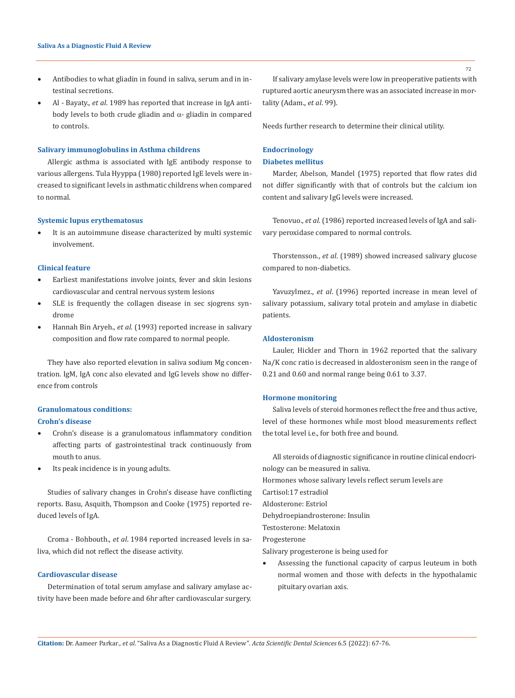- Antibodies to what gliadin in found in saliva, serum and in intestinal secretions.
- Al Bayaty., *et al*. 1989 has reported that increase in IgA antibody levels to both crude gliadin and  $\alpha$ - gliadin in compared to controls.

# **Salivary immunoglobulins in Asthma childrens**

Allergic asthma is associated with IgE antibody response to various allergens. Tula Hyyppa (1980) reported IgE levels were increased to significant levels in asthmatic childrens when compared to normal.

### **Systemic lupus erythematosus**

• It is an autoimmune disease characterized by multi systemic involvement.

# **Clinical feature**

- Earliest manifestations involve joints, fever and skin lesions cardiovascular and central nervous system lesions
- • SLE is frequently the collagen disease in sec sjogrens syndrome
- Hannah Bin Aryeh., et al. (1993) reported increase in salivary composition and flow rate compared to normal people.

They have also reported elevation in saliva sodium Mg concentration. IgM, IgA conc also elevated and IgG levels show no difference from controls

# **Granulomatous conditions:**

## **Crohn's disease**

- • Crohn's disease is a granulomatous inflammatory condition affecting parts of gastrointestinal track continuously from mouth to anus.
- Its peak incidence is in young adults.

Studies of salivary changes in Crohn's disease have conflicting reports. Basu, Asquith, Thompson and Cooke (1975) reported reduced levels of IgA.

Croma - Bohbouth., *et al*. 1984 reported increased levels in saliva, which did not reflect the disease activity.

## **Cardiovascular disease**

Determination of total serum amylase and salivary amylase activity have been made before and 6hr after cardiovascular surgery.

If salivary amylase levels were low in preoperative patients with ruptured aortic aneurysm there was an associated increase in mortality (Adam., *et al*. 99).

Needs further research to determine their clinical utility.

# **Endocrinology**

# **Diabetes mellitus**

Marder, Abelson, Mandel (1975) reported that flow rates did not differ significantly with that of controls but the calcium ion content and salivary IgG levels were increased.

Tenovuo., *et al*. (1986) reported increased levels of IgA and salivary peroxidase compared to normal controls.

Thorstensson., *et al*. (1989) showed increased salivary glucose compared to non-diabetics.

Yavuzylmez., *et al*. (1996) reported increase in mean level of salivary potassium, salivary total protein and amylase in diabetic patients.

## **Aldosteronism**

Lauler, Hickler and Thorn in 1962 reported that the salivary Na/K conc ratio is decreased in aldosteronism seen in the range of 0.21 and 0.60 and normal range being 0.61 to 3.37.

## **Hormone monitoring**

Saliva levels of steroid hormones reflect the free and thus active, level of these hormones while most blood measurements reflect the total level i.e., for both free and bound.

All steroids of diagnostic significance in routine clinical endocrinology can be measured in saliva.

Hormones whose salivary levels reflect serum levels are

Cartisol:17 estradiol

Aldosterone: Estriol

Dehydroepiandrosterone: Insulin

Testosterone: Melatoxin

Progesterone

Salivary progesterone is being used for

• Assessing the functional capacity of carpus leuteum in both normal women and those with defects in the hypothalamic pituitary ovarian axis.

72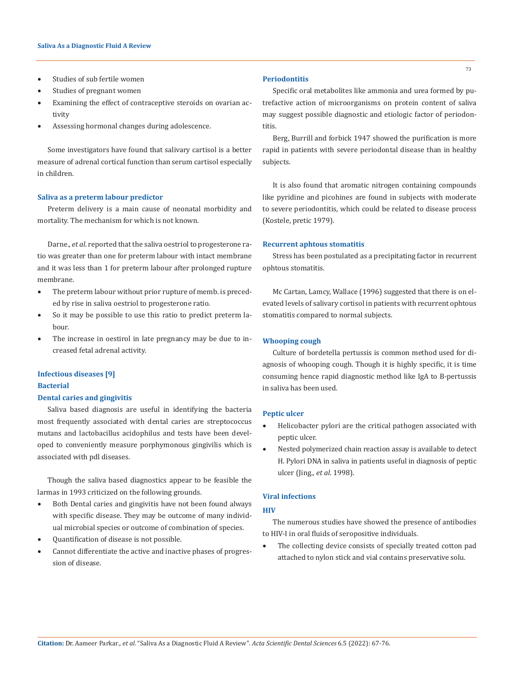- Studies of sub fertile women
- Studies of pregnant women
- Examining the effect of contraceptive steroids on ovarian activity
- Assessing hormonal changes during adolescence.

Some investigators have found that salivary cartisol is a better measure of adrenal cortical function than serum cartisol especially in children.

### **Saliva as a preterm labour predictor**

Preterm delivery is a main cause of neonatal morbidity and mortality. The mechanism for which is not known.

Darne., *et al*. reported that the saliva oestriol to progesterone ratio was greater than one for preterm labour with intact membrane and it was less than 1 for preterm labour after prolonged rupture membrane.

- The preterm labour without prior rupture of memb. is preceded by rise in saliva oestriol to progesterone ratio.
- So it may be possible to use this ratio to predict preterm labour.
- The increase in oestirol in late pregnancy may be due to increased fetal adrenal activity.

# **Infectious diseases [9]**

## **Bacterial**

# **Dental caries and gingivitis**

Saliva based diagnosis are useful in identifying the bacteria most frequently associated with dental caries are streptococcus mutans and lactobacillus acidophilus and tests have been developed to conveniently measure porphymonous gingivilis which is associated with pdl diseases.

Though the saliva based diagnostics appear to be feasible the larmas in 1993 criticized on the following grounds.

- • Both Dental caries and gingivitis have not been found always with specific disease. They may be outcome of many individual microbial species or outcome of combination of species.
- Quantification of disease is not possible.
- Cannot differentiate the active and inactive phases of progression of disease.

## **Periodontitis**

Specific oral metabolites like ammonia and urea formed by putrefactive action of microorganisms on protein content of saliva may suggest possible diagnostic and etiologic factor of periodontitis.

Berg, Burrill and forbick 1947 showed the purification is more rapid in patients with severe periodontal disease than in healthy subjects.

It is also found that aromatic nitrogen containing compounds like pyridine and picohines are found in subjects with moderate to severe periodontitis, which could be related to disease process (Kostele, pretic 1979).

### **Recurrent aphtous stomatitis**

Stress has been postulated as a precipitating factor in recurrent ophtous stomatitis.

Mc Cartan, Lamcy, Wallace (1996) suggested that there is on elevated levels of salivary cortisol in patients with recurrent ophtous stomatitis compared to normal subjects.

### **Whooping cough**

Culture of bordetella pertussis is common method used for diagnosis of whooping cough. Though it is highly specific, it is time consuming hence rapid diagnostic method like IgA to B-pertussis in saliva has been used.

### **Peptic ulcer**

- Helicobacter pylori are the critical pathogen associated with peptic ulcer.
- Nested polymerized chain reaction assay is available to detect H. Pylori DNA in saliva in patients useful in diagnosis of peptic ulcer (Jing., *et al*. 1998).

## **Viral infections**

## **HIV**

The numerous studies have showed the presence of antibodies to HIV-I in oral fluids of seropositive individuals.

The collecting device consists of specially treated cotton pad attached to nylon stick and vial contains preservative solu.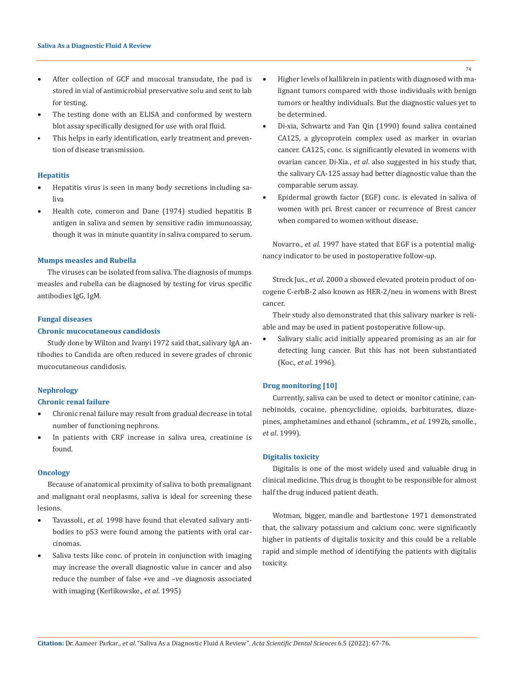- After collection of GCF and mucosal transudate, the pad is stored in vial of antimicrobial preservative solu and sent to lab for testing.
- The testing done with an ELISA and conformed by western blot assay specifically designed for use with oral fluid.
- This helps in early identification, early treatment and prevention of disease transmission.

#### **Hepatitis**

- • Hepatitis virus is seen in many body secretions including saliva
- Health cote, comeron and Dane (1974) studied hepatitis B antigen in saliva and semen by sensitive radio immunoassay, though it was in minute quantity in saliva compared to serum.

#### **Mumps measles and Rubella**

The viruses can be isolated from saliva. The diagnosis of mumps measles and rubella can be diagnosed by testing for virus specific antibodies IgG, IgM.

## **Fungal diseases**

## **Chronic mucocutaneous candidosis**

Study done by Wilton and Ivanyi 1972 said that, salivary IgA antibodies to Candida are often reduced in severe grades of chronic mucocutaneous candidosis.

## **Nephrology**

### **Chronic renal failure**

- Chronic renal failure may result from gradual decrease in total number of functioning nephrons.
- In patients with CRF increase in saliva urea, creatinine is found.

### **Oncology**

Because of anatomical proximity of saliva to both premalignant and malignant oral neoplasms, saliva is ideal for screening these lesions.

- Tavassoli., et al. 1998 have found that elevated salivary antibodies to p53 were found among the patients with oral carcinomas.
- Saliva tests like conc. of protein in conjunction with imaging may increase the overall diagnostic value in cancer and also reduce the number of false +ve and –ve diagnosis associated with imaging (Kerlikowske., *et al*. 1995)
- Higher levels of kallikrein in patients with diagnosed with malignant tumors compared with those individuals with benign tumors or healthy individuals. But the diagnostic values yet to be determined.
- Di-xia, Schwartz and Fan Qin (1990) found saliva contained CA125, a glycoprotein complex used as marker in ovarian cancer. CA125, conc. is significantly elevated in womens with ovarian cancer. Di-Xia., *et al*. also suggested in his study that, the salivary CA-125 assay had better diagnostic value than the comparable serum assay.
- Epidermal growth factor (EGF) conc. is elevated in saliva of women with pri. Brest cancer or recurrence of Brest cancer when compared to women without disease.

Novarro., *et al*. 1997 have stated that EGF is a potential malignancy indicator to be used in postoperative follow-up.

Streck Jus., *et al*. 2000 a showed elevated protein product of oncogene C-erbB-2 also known as HER-2/neu in womens with Brest cancer.

Their study also demonstrated that this salivary marker is reliable and may be used in patient postoperative follow-up.

Salivary sialic acid initially appeared promising as an air for detecting lung cancer. But this has not been substantiated (Koc., *et al*. 1996).

## **Drug monitoring [10]**

Currently, saliva can be used to detect or monitor catinine, cannebinoids, cocaine, phencyclidine, opioids, barbiturates, diazepines, amphetamines and ethanol (schramm., *et al*. 1992b, smolle., *et al*. 1999).

## **Digitalis toxicity**

Digitalis is one of the most widely used and valuable drug in clinical medicine. This drug is thought to be responsible for almost half the drug induced patient death.

Wotman, bigger, mandle and bartlestone 1971 demonstrated that, the salivary potassium and calcium conc. were significantly higher in patients of digitalis toxicity and this could be a reliable rapid and simple method of identifying the patients with digitalis toxicity.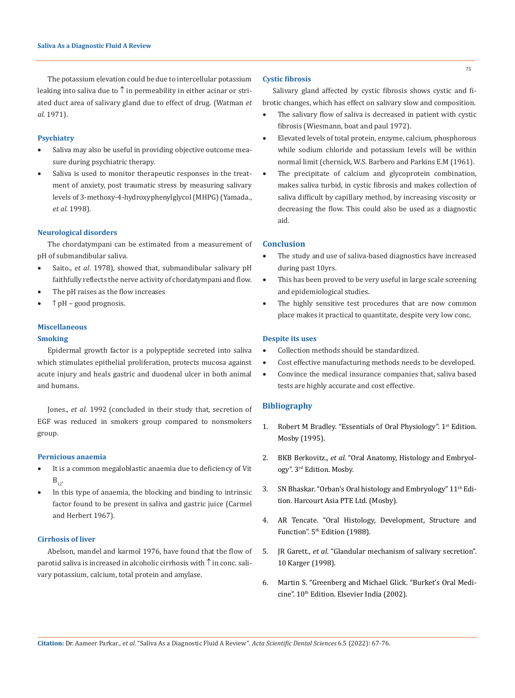# The potassium elevation could be due to intercellular potassium leaking into saliva due to  $\uparrow$  in permeability in either acinar or striated duct area of salivary gland due to effect of drug. (Watman *et al*. 1971).

### **Psychiatry**

- Saliva may also be useful in providing objective outcome measure during psychiatric therapy.
- Saliva is used to monitor therapeutic responses in the treatment of anxiety, post traumatic stress by measuring salivary levels of 3-methoxy-4-hydroxyphenylglycol (MHPG) (Yamada., *et al*. 1998).

### **Neurological disorders**

The chordatympani can be estimated from a measurement of pH of submandibular saliva.

- Saito., *et al.* 1978), showed that, submandibular salivary pH faithfully reflects the nerve activity of chordatympani and flow.
- The pH raises as the flow increases
- • ↑ pH good prognosis.

# **Miscellaneous**

# **Smoking**

Epidermal growth factor is a polypeptide secreted into saliva which stimulates epithelial proliferation, protects mucosa against acute injury and heals gastric and duodenal ulcer in both animal and humans.

Jones., *et al*. 1992 (concluded in their study that, secretion of EGF was reduced in smokers group compared to nonsmokers group.

# **Pernicious anaemia**

- It is a common megaloblastic anaemia due to deficiency of Vit  $B_{12}$ .
- In this type of anaemia, the blocking and binding to intrinsic factor found to be present in saliva and gastric juice (Carmel and Herbert 1967).

### **Cirrhosis of liver**

Abelson, mandel and karmol 1976, have found that the flow of parotid saliva is increased in alcoholic cirrhosis with  $\uparrow$  in conc. salivary potassium, calcium, total protein and amylase.

## **Cystic fibrosis**

Salivary gland affected by cystic fibrosis shows cystic and fibrotic changes, which has effect on salivary slow and composition.

- The salivary flow of saliva is decreased in patient with cystic fibrosis (Wiesmann, boat and paul 1972).
- Elevated levels of total protein, enzyme, calcium, phosphorous while sodium chloride and potassium levels will be within normal limit (chernick, W.S. Barbero and Parkins E.M (1961).
- The precipitate of calcium and glycoprotein combination, makes saliva turbid, in cystic fibrosis and makes collection of saliva difficult by capillary method, by increasing viscosity or decreasing the flow. This could also be used as a diagnostic aid.

# **Conclusion**

- The study and use of saliva-based diagnostics have increased during past 10yrs.
- • This has been proved to be very useful in large scale screening and epidemiological studies.
- The highly sensitive test procedures that are now common place makes it practical to quantitate, despite very low conc.

### **Despite its uses**

- Collection methods should be standardized.
- Cost effective manufacturing methods needs to be developed.
- Convince the medical insurance companies that, saliva based tests are highly accurate and cost effective.

## **Bibliography**

- 1. Robert M Bradley. "Essentials of Oral Physiology". 1st Edition. [Mosby \(1995\).](https://books.google.co.in/books/about/Essentials_of_Oral_Physiology.html?id=10FqAAAAMAAJ&redir_esc=y)
- 2. BKB Berkovitz., *et al*[. "Oral Anatomy, Histology and Embryol](https://www.abebooks.com/9780723431817/Oral-Anatomy-Histology-Embryology-3E-0723431817/plp)ogy". 3[rd Edition. Mosby.](https://www.abebooks.com/9780723431817/Oral-Anatomy-Histology-Embryology-3E-0723431817/plp)
- 3. [SN Bhaskar. "Orban's Oral histology and Embryology" 11](file:///C:/Users/DELL/Desktop/07-02-2022/PDF/ASDS/ASDS-22-RW-027/Orban’s%20Oral%20histology%20and%20Embryology)<sup>th</sup> Edi[tion. Harcourt Asia PTE Ltd. \(Mosby\).](file:///C:/Users/DELL/Desktop/07-02-2022/PDF/ASDS/ASDS-22-RW-027/Orban’s%20Oral%20histology%20and%20Embryology)
- 4. [AR Tencate. "Oral Histology, Development, Structure and](https://www.worldcat.org/title/oral-histology-development-structure-and-function/oclc/38937486)  Function". 5<sup>th</sup> Edition (1988).
- 5. JR Garett., *et al*[. "Glandular mechanism of salivary secretion".](https://www.karger.com/Book/Home/223347)  [10 Karger \(1998\).](https://www.karger.com/Book/Home/223347)
- 6. [Martin S. "Greenberg and Michael Glick. "Burket's Oral Medi](https://www.textbooks.com/Burkets-Oral-Medicine-Diagnosis-and-Treatment-10th-Edition/9781550091861/Martin-S-Greenberg-and-Michael-Glick.php)cine". 10<sup>th</sup> Edition. Elsevier India (2002).